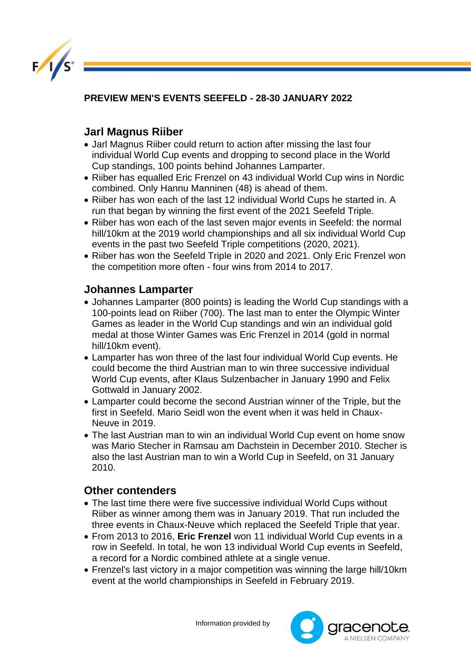

**PREVIEW MEN'S EVENTS SEEFELD - 28-30 JANUARY 2022**

## **Jarl Magnus Riiber**

- Jarl Magnus Riiber could return to action after missing the last four individual World Cup events and dropping to second place in the World Cup standings, 100 points behind Johannes Lamparter.
- Riiber has equalled Eric Frenzel on 43 individual World Cup wins in Nordic combined. Only Hannu Manninen (48) is ahead of them.
- Riiber has won each of the last 12 individual World Cups he started in. A run that began by winning the first event of the 2021 Seefeld Triple.
- Riiber has won each of the last seven major events in Seefeld: the normal hill/10km at the 2019 world championships and all six individual World Cup events in the past two Seefeld Triple competitions (2020, 2021).
- Riiber has won the Seefeld Triple in 2020 and 2021. Only Eric Frenzel won the competition more often - four wins from 2014 to 2017.

## **Johannes Lamparter**

- Johannes Lamparter (800 points) is leading the World Cup standings with a 100-points lead on Riiber (700). The last man to enter the Olympic Winter Games as leader in the World Cup standings and win an individual gold medal at those Winter Games was Eric Frenzel in 2014 (gold in normal hill/10km event).
- Lamparter has won three of the last four individual World Cup events. He could become the third Austrian man to win three successive individual World Cup events, after Klaus Sulzenbacher in January 1990 and Felix Gottwald in January 2002.
- Lamparter could become the second Austrian winner of the Triple, but the first in Seefeld. Mario Seidl won the event when it was held in Chaux-Neuve in 2019.
- The last Austrian man to win an individual World Cup event on home snow was Mario Stecher in Ramsau am Dachstein in December 2010. Stecher is also the last Austrian man to win a World Cup in Seefeld, on 31 January 2010.

## **Other contenders**

- The last time there were five successive individual World Cups without Riiber as winner among them was in January 2019. That run included the three events in Chaux-Neuve which replaced the Seefeld Triple that year.
- From 2013 to 2016, **Eric Frenzel** won 11 individual World Cup events in a row in Seefeld. In total, he won 13 individual World Cup events in Seefeld, a record for a Nordic combined athlete at a single venue.
- Frenzel's last victory in a major competition was winning the large hill/10km event at the world championships in Seefeld in February 2019.

Information provided by